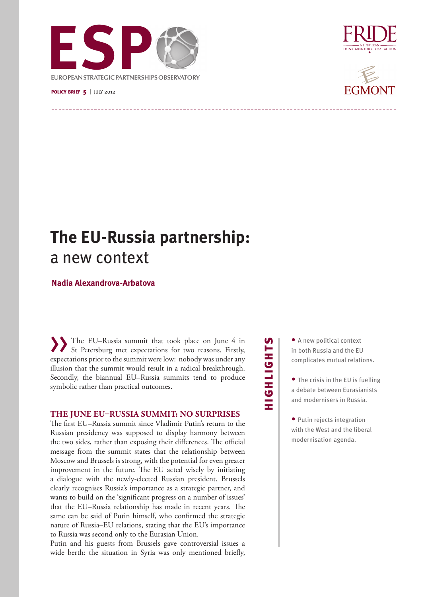

### policy brief 5| july 2012





# **The EU-Russia partnership:**  a new context

# **Nadia Alexandrova-Arbatova**

The EU–Russia summit that took place on June 4 in St Petersburg met expectations for two reasons. Firstly, expectations prior to the summit were low: nobody was under any illusion that the summit would result in a radical breakthrough. Secondly, the biannual EU–Russia summits tend to produce symbolic rather than practical outcomes.

## **THE JUNE EU–RUSSIA SUMMIT: NO SURPRISES**

The first EU–Russia summit since Vladimir Putin's return to the Russian presidency was supposed to display harmony between the two sides, rather than exposing their differences. The official message from the summit states that the relationship between Moscow and Brussels is strong, with the potential for even greater improvement in the future. The EU acted wisely by initiating a dialogue with the newly-elected Russian president. Brussels clearly recognises Russia's importance as a strategic partner, and wants to build on the 'significant progress on a number of issues' that the EU–Russia relationship has made in recent years. The same can be said of Putin himself, who confirmed the strategic nature of Russia–EU relations, stating that the EU's importance to Russia was second only to the Eurasian Union.

Putin and his guests from Brussels gave controversial issues a wide berth: the situation in Syria was only mentioned briefly,

# **SLHOITEOLE** HIGHLIGHTS

- A new political context in both Russia and the EU complicates mutual relations.
- The crisis in the EU is fuelling a debate between Eurasianists and modernisers in Russia.
- Putin rejects integration with the West and the liberal modernisation agenda.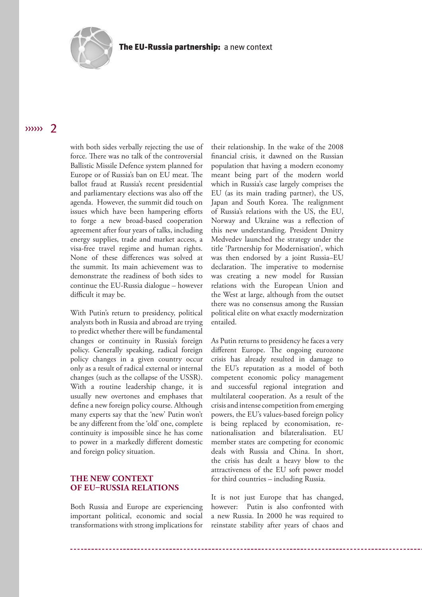

#### $\langle \rangle$  $\overline{\phantom{a}}$

with both sides verbally rejecting the use of force. There was no talk of the controversial Ballistic Missile Defence system planned for Europe or of Russia's ban on EU meat. The ballot fraud at Russia's recent presidential and parliamentary elections was also off the agenda. However, the summit did touch on issues which have been hampering efforts to forge a new broad-based cooperation agreement after four years of talks, including energy supplies, trade and market access, a visa-free travel regime and human rights. None of these differences was solved at the summit. Its main achievement was to demonstrate the readiness of both sides to continue the EU-Russia dialogue – however difficult it may be.

With Putin's return to presidency, political analysts both in Russia and abroad are trying to predict whether there will be fundamental changes or continuity in Russia's foreign policy. Generally speaking, radical foreign policy changes in a given country occur only as a result of radical external or internal changes (such as the collapse of the USSR). With a routine leadership change, it is usually new overtones and emphases that define a new foreign policy course. Although many experts say that the 'new' Putin won't be any different from the 'old' one, complete continuity is impossible since he has come to power in a markedly different domestic and foreign policy situation.

# **THE NEW CONTEXT OF EU–RUSSIA RELATIONS**

Both Russia and Europe are experiencing important political, economic and social transformations with strong implications for

their relationship. In the wake of the 2008 financial crisis, it dawned on the Russian population that having a modern economy meant being part of the modern world which in Russia's case largely comprises the EU (as its main trading partner), the US, Japan and South Korea. The realignment of Russia's relations with the US, the EU, Norway and Ukraine was a reflection of this new understanding. President Dmitry Medvedev launched the strategy under the title 'Partnership for Modernisation', which was then endorsed by a joint Russia–EU declaration. The imperative to modernise was creating a new model for Russian relations with the European Union and the West at large, although from the outset there was no consensus among the Russian political elite on what exactly modernization entailed.

As Putin returns to presidency he faces a very different Europe. The ongoing eurozone crisis has already resulted in damage to the EU's reputation as a model of both competent economic policy management and successful regional integration and multilateral cooperation. As a result of the crisis and intense competition from emerging powers, the EU's values-based foreign policy is being replaced by economisation, renationalisation and bilateralisation. EU member states are competing for economic deals with Russia and China. In short, the crisis has dealt a heavy blow to the attractiveness of the EU soft power model for third countries – including Russia.

It is not just Europe that has changed, however: Putin is also confronted with a new Russia. In 2000 he was required to reinstate stability after years of chaos and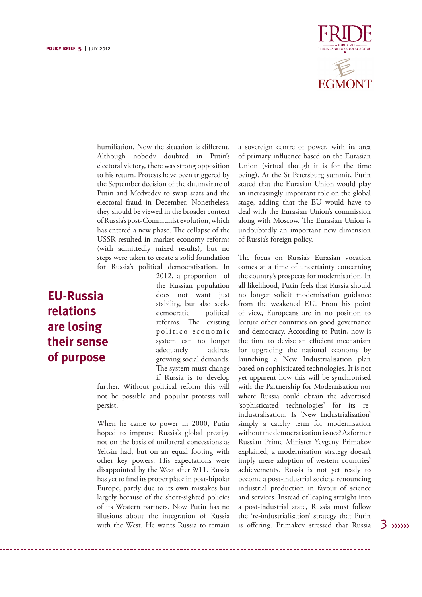

humiliation. Now the situation is different. Although nobody doubted in Putin's electoral victory, there was strong opposition to his return. Protests have been triggered by the September decision of the duumvirate of Putin and Medvedev to swap seats and the electoral fraud in December. Nonetheless, they should be viewed in the broader context of Russia's post-Communist evolution, which has entered a new phase. The collapse of the USSR resulted in market economy reforms (with admittedly mixed results), but no steps were taken to create a solid foundation for Russia's political democratisation. In

# **EU-Russia relations are losing their sense of purpose**

2012, a proportion of the Russian population does not want just stability, but also seeks democratic political reforms. The existing p o litico-e conomic system can no longer adequately address growing social demands. The system must change if Russia is to develop

further. Without political reform this will not be possible and popular protests will persist.

When he came to power in 2000, Putin hoped to improve Russia's global prestige not on the basis of unilateral concessions as Yeltsin had, but on an equal footing with other key powers. His expectations were disappointed by the West after 9/11. Russia has yet to find its proper place in post-bipolar Europe, partly due to its own mistakes but largely because of the short-sighted policies of its Western partners. Now Putin has no illusions about the integration of Russia with the West. He wants Russia to remain

a sovereign centre of power, with its area of primary influence based on the Eurasian Union (virtual though it is for the time being). At the St Petersburg summit, Putin stated that the Eurasian Union would play an increasingly important role on the global stage, adding that the EU would have to deal with the Eurasian Union's commission along with Moscow. The Eurasian Union is undoubtedly an important new dimension of Russia's foreign policy.

The focus on Russia's Eurasian vocation comes at a time of uncertainty concerning the country's prospects for modernisation. In all likelihood, Putin feels that Russia should no longer solicit modernisation guidance from the weakened EU. From his point of view, Europeans are in no position to lecture other countries on good governance and democracy. According to Putin, now is the time to devise an efficient mechanism for upgrading the national economy by launching a New Industrialisation plan based on sophisticated technologies. It is not yet apparent how this will be synchronised with the Partnership for Modernisation nor where Russia could obtain the advertised 'sophisticated technologies' for its reindustralisation. Is 'New Industrialisation' simply a catchy term for modernisation without the democratisation issues? As former Russian Prime Minister Yevgeny Primakov explained, a modernisation strategy doesn't imply mere adoption of western countries' achievements. Russia is not yet ready to become a post-industrial society, renouncing industrial production in favour of science and services. Instead of leaping straight into a post-industrial state, Russia must follow the 're-industrialisation' strategy that Putin is offering. Primakov stressed that Russia

 $3 \n<sub>xyyy</sub>$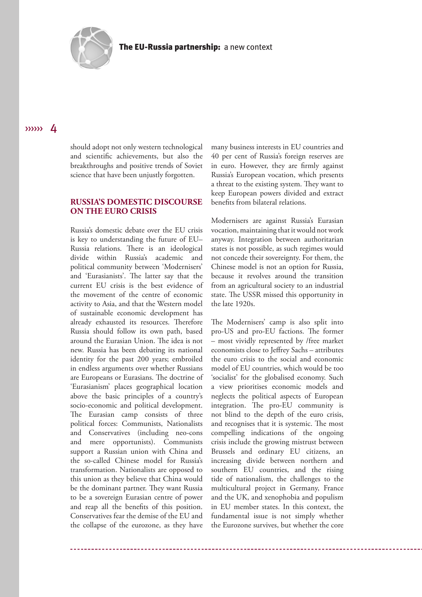

should adopt not only western technological and scientific achievements, but also the breakthroughs and positive trends of Soviet science that have been unjustly forgotten.

# **RUSSIA'S DOMESTIC DISCOURSE ON THE EURO CRISIS**

Russia's domestic debate over the EU crisis is key to understanding the future of EU– Russia relations. There is an ideological divide within Russia's academic and political community between 'Modernisers' and 'Eurasianists'. The latter say that the current EU crisis is the best evidence of the movement of the centre of economic activity to Asia, and that the Western model of sustainable economic development has already exhausted its resources. Therefore Russia should follow its own path, based around the Eurasian Union. The idea is not new. Russia has been debating its national identity for the past 200 years; embroiled in endless arguments over whether Russians are Europeans or Eurasians. The doctrine of 'Eurasianism' places geographical location above the basic principles of a country's socio-economic and political development. The Eurasian camp consists of three political forces: Communists, Nationalists and Conservatives (including neo-cons and mere opportunists). Communists support a Russian union with China and the so-called Chinese model for Russia's transformation. Nationalists are opposed to this union as they believe that China would be the dominant partner. They want Russia to be a sovereign Eurasian centre of power and reap all the benefits of this position. Conservatives fear the demise of the EU and the collapse of the eurozone, as they have

many business interests in EU countries and 40 per cent of Russia's foreign reserves are in euro. However, they are firmly against Russia's European vocation, which presents a threat to the existing system. They want to keep European powers divided and extract benefits from bilateral relations.

Modernisers are against Russia's Eurasian vocation, maintaining that it would not work anyway. Integration between authoritarian states is not possible, as such regimes would not concede their sovereignty. For them, the Chinese model is not an option for Russia, because it revolves around the transition from an agricultural society to an industrial state. The USSR missed this opportunity in the late 1920s.

The Modernisers' camp is also split into pro-US and pro-EU factions. The former – most vividly represented by /free market economists close to Jeffrey Sachs – attributes the euro crisis to the social and economic model of EU countries, which would be too 'socialist' for the globalised economy. Such a view prioritises economic models and neglects the political aspects of European integration. The pro-EU community is not blind to the depth of the euro crisis, and recognises that it is systemic. The most compelling indications of the ongoing crisis include the growing mistrust between Brussels and ordinary EU citizens, an increasing divide between northern and southern EU countries, and the rising tide of nationalism, the challenges to the multicultural project in Germany, France and the UK, and xenophobia and populism in EU member states. In this context, the fundamental issue is not simply whether the Eurozone survives, but whether the core